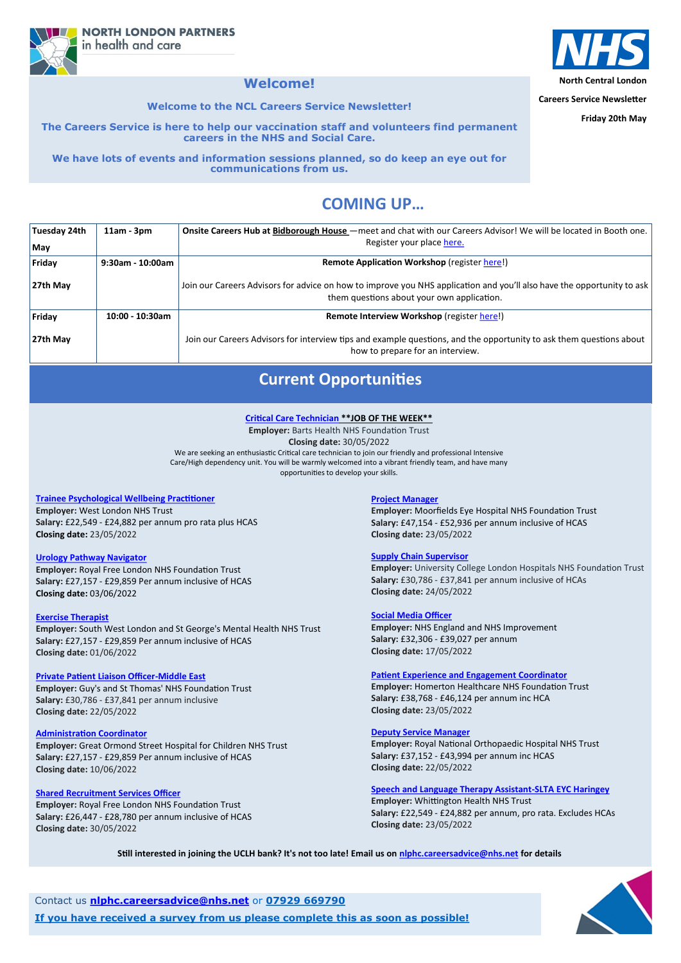**North Central London**

**Careers Service Newsletter**

**Friday 20th May**

# **COMING UP…**

**NORTH LONDON PARTNERS** in health and care

## **Welcome!**

**Welcome to the NCL Careers Service Newsletter!**

**The Careers Service is here to help our vaccination staff and volunteers find permanent careers in the NHS and Social Care.** 

**We have lots of events and information sessions planned, so do keep an eye out for communications from us.**

| <b>Tuesday 24th</b> | $11am - 3pm$     | Onsite Careers Hub at Bidborough House – meet and chat with our Careers Advisor! We will be located in Booth one.                                                    |
|---------------------|------------------|----------------------------------------------------------------------------------------------------------------------------------------------------------------------|
| May                 |                  | Register your place here.                                                                                                                                            |
| Friday              | 9:30am - 10:00am | <b>Remote Application Workshop (register here!)</b>                                                                                                                  |
| $27th$ May          |                  | Join our Careers Advisors for advice on how to improve you NHS application and you'll also have the opportunity to ask<br>them questions about your own application. |
| Friday              | 10:00 - 10:30am  | Remote Interview Workshop (register here!)                                                                                                                           |
| 27th May            |                  | Join our Careers Advisors for interview tips and example questions, and the opportunity to ask them questions about<br>how to prepare for an interview.              |

Contact us **[nlphc.careersadvice@nhs.net](mailto:nlphc.careersadvice@nhs.net)** or **07929 669790**

**If you have received a survey from us please complete this as soon as possible!**



# **Current Opportunities**

## **[Trainee Psychological Wellbeing Practitioner](https://www.healthjobsuk.com/job/UK/London/London/West_London_NHS_Trust/Mental_Health/Mental_Health-v4186154?_ts=125803)**

**Employer:** West London NHS Trust **Salary:** £22,549 - £24,882 per annum pro rata plus HCAS **Closing date:** 23/05/2022

### **[Urology Pathway Navigator](https://www.healthjobsuk.com/job/UK/London/London/Royal_Free_London_NHS_Foundation_Trust/Urology/Urology-v4072180?_ts=55848)**

**Employer:** Royal Free London NHS Foundation Trust **Salary:** £27,157 - £29,859 Per annum inclusive of HCAS **Closing date:** 03/06/2022

## **[Exercise Therapist](https://www.healthjobsuk.com/job/UK/London/London/South_West_London_St_Georges_Mental_Health_NHS_Trust/Physiotherapy/Physiotherapy-v4205939?_ts=120178)**

**Employer:** South West London and St George's Mental Health NHS Trust **Salary:** £27,157 - £29,859 Per annum inclusive of HCAS **Closing date:** 01/06/2022

### **[Private Patient Liaison Officer](https://www.healthjobsuk.com/job/UK/London/London/Guys_St_Thomas_NHS_Foundation_Trust/International_Private_Patients/International_Private_Patients-v4170214?_ts=147425)-Middle East**

**Employer:** Guy's and St Thomas' NHS Foundation Trust **Salary:** £30,786 - £37,841 per annum inclusive **Closing date:** 22/05/2022

#### **[Administration Coordinator](https://www.healthjobsuk.com/job/UK/London/London/Great_Ormond_Street_Hospital_Children_NHS_Foundation_Trust/Genetics/Genetics-v4220209?_ts=59794)**

**Employer:** Great Ormond Street Hospital for Children NHS Trust **Salary:** £27,157 - £29,859 Per annum inclusive of HCAS **Closing date:** 10/06/2022

#### **[Shared Recruitment Services Officer](https://www.healthjobsuk.com/job/UK/London/Enfield/Royal_Free_London_NHS_Foundation_Trust/Recruitment/Recruitment-v4202439?_ts=67685)**

**Employer:** Royal Free London NHS Foundation Trust **Salary:** £26,447 - £28,780 per annum inclusive of HCAS **Closing date:** 30/05/2022

## **[Project Manager](https://www.healthjobsuk.com/job/UK/London/London/Moorfields_Eye_Hospital_NHS_Foundation_Trust/ITprojects_stakeholder_engagement_business_analysis_digital_transformation/ITprojects_stakeholder_engagement_business_analysis_digital_transformation-v4178904?_t)**

**Employer:** Moorfields Eye Hospital NHS Foundation Trust **Salary:** £47,154 - £52,936 per annum inclusive of HCAS **[C](https://www.healthjobsuk.com/job/UK/London/London/University_College_London_Hospitals_NHS_Foundation_Trust/Procurement_Directorate/Procurement_Directorate-v4197625?_ts=75959)losing date:** 23/05/2022

### **[Supply Chain Supervisor](https://www.healthjobsuk.com/job/UK/London/London/University_College_London_Hospitals_NHS_Foundation_Trust/Procurement_Directorate/Procurement_Directorate-v4197625?_ts=75959)**

**Employer:** University College London Hospitals NHS Foundation Trust **Salary:** £30,786 - £37,841 per annum inclusive of HCAs **Closing date:** 24/05/2022

### **[Social Media Officer](https://www.healthjobsuk.com/job/UK/West_Yorkshire/LondonLeeds/NHS_England_NHS_Improvement/Communications/Communications-v4214767?_ts=102150)**

**Employer:** NHS England and NHS Improvement **Salary:** £32,306 - £39,027 per annum **Closing date:** 17/05/2022

### **[Patient Experience and Engagement Coordinator](https://www.healthjobsuk.com/job/UK/London/London/Homerton_Healthcare_NHS_Foundation_Trust/Patient_Experience_Engagement_Coordinator/Patient_Experience_Engagement_Coordinator-v4175481?_ts=105655)**

**Employer:** Homerton Healthcare NHS Foundation Trust **Salary:** £38,768 - £46,124 per annum inc HCA **Closing date:** 23/05/2022



#### **[Deputy Service Manager](https://www.healthjobsuk.com/job/UK/London/Stanmore/Royal_National_Orthopaedic_Hospital_NHS_Trust/Outpatients_Paediatrics/Outpatients_Paediatrics-v4196732?_ts=109002)**

**Employer:** Royal National Orthopaedic Hospital NHS Trust **Salary:** £37,152 - £43,994 per annum inc HCAS **[C](https://www.healthjobsuk.com/job/UK/London/Tottenham_London/Whittington_Health_NHS_Trust/Speech_Language_Therapy_Assistant/Speech_Language_Therapy_Assistant-v4194999?_ts=117205)losing date:** 22/05/2022

## **[Speech and Language Therapy Assistant](https://www.healthjobsuk.com/job/UK/London/Tottenham_London/Whittington_Health_NHS_Trust/Speech_Language_Therapy_Assistant/Speech_Language_Therapy_Assistant-v4194999?_ts=117205)-SLTA EYC Haringey Employer:** Whittington Health NHS Trust **Salary:** £22,549 - £24,882 per annum, pro rata. Excludes HCAs **Closing date:** 23/05/2022

## **[Critical Care Technician](https://www.healthjobsuk.com/job/UK/London/London/Barts_Health_NHS_Trust/Critical_Care_Outreach/Critical_Care_Outreach-v4205337?_ts=81438) \*\*JOB OF THE WEEK\*\***

**Employer:** Barts Health NHS Foundation Trust **Closing date:** 30/05/2022 We are seeking an enthusiastic Critical care technician to join our friendly and professional Intensive Care/High dependency unit. You will be warmly welcomed into a vibrant friendly team, and have many opportunities to develop your skills.

**Still interested in joining the UCLH bank? It's not too late! Email us on [nlphc.careersadvice@nhs.net](mailto:nlphc.careersadvice@nhs.net) for details**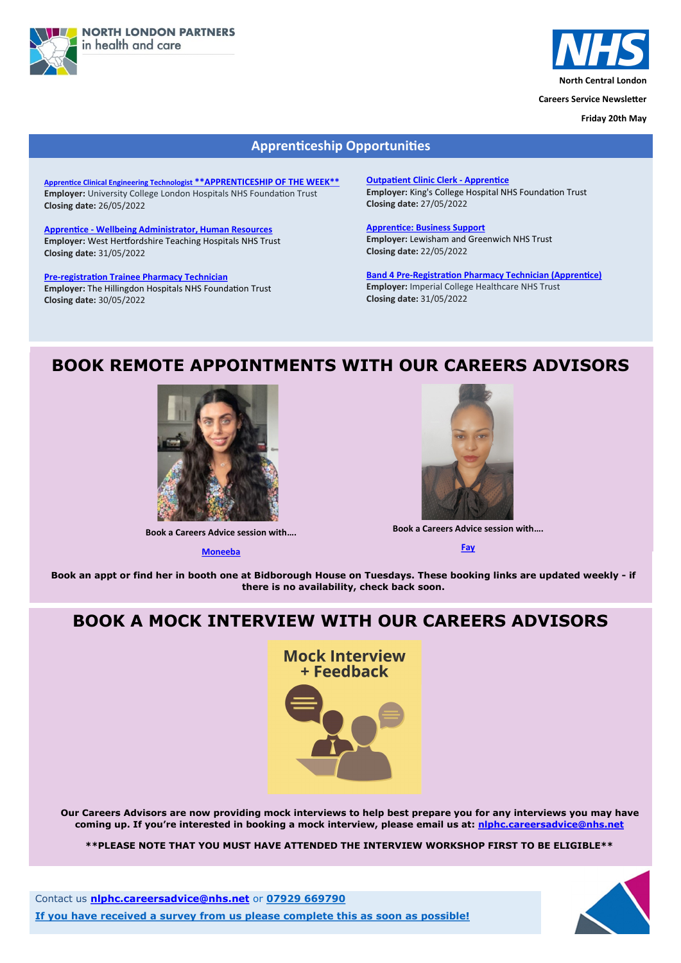



**North Central London**

**Careers Service Newsletter**

**Friday 20th May**

Contact us **[nlphc.careersadvice@nhs.net](mailto:nlphc.careersadvice@nhs.net)** or **07929 669790**

**If you have received a survey from us please complete this as soon as possible!**



# **BOOK REMOTE APPOINTMENTS WITH OUR CAREERS ADVISORS**



**Book a Careers Advice session with….**

**[Moneeba](https://calendly.com/nlphc-careersadvice/careers-advice-session-moneeba)**



**Book an appt or find her in booth one at Bidborough House on Tuesdays. These booking links are updated weekly - if there is no availability, check back soon.**

## **Apprenticeship Opportunities**

**Apprentice Clinical Engineering Technologist [\\*\\*APPRENTICESHIP OF THE WEEK\\*\\*](https://beta.jobs.nhs.uk/candidate/jobadvert/C9309-22-5974) Employer:** University College London Hospitals NHS Foundation Trust **Closing date:** 26/05/2022

**Apprentice - [Wellbeing Administrator, Human Resources](https://www.healthjobsuk.com/job/-v4209944?_ts=1869) Employer:** West Hertfordshire Teaching Hospitals NHS Trust **Closing date:** 31/05/2022

**Pre-[registration Trainee Pharmacy Technician](https://beta.jobs.nhs.uk/candidate/jobadvert/C9199-3984555-FM-NP) Employer:** The Hillingdon Hospitals NHS Foundation Trust **Closing date:** 30/05/2022

**[Outpatient Clinic Clerk](https://www.healthjobsuk.com/job/UK/London/London/Kings_College_Hospital_NHS_Foundation_Trust/Liver/Liver-v4160838?_ts=16629) - Apprentice Employer:** King's College Hospital NHS Foundation Trust **Closing date:** 27/05/2022

**[Apprentice: Business Support](https://www.healthjobsuk.com/job/UK/London/London/Lewisham_Greenwich_NHS_Trust/Performance/Performance-v4099726?_ts=21055) Employer:** Lewisham and Greenwich NHS Trust **Closing date:** 22/05/2022

**Band 4 Pre-[Registration Pharmacy Technician \(Apprentice\)](https://beta.jobs.nhs.uk/candidate/jobadvert/C9290-22-6762) Employer:** Imperial College Healthcare NHS Trust **Closing date:** 31/05/2022

**Book a Careers Advice session with….**

**[Fay](https://calendly.com/nlphc-careersadvice/careers-advice-session-fay)**

# **BOOK A MOCK INTERVIEW WITH OUR CAREERS ADVISORS**

**Mock Interview** + Feedback



**Our Careers Advisors are now providing mock interviews to help best prepare you for any interviews you may have coming up. If you're interested in booking a mock interview, please email us at: [nlphc.careersadvice@nhs.net](mailto:nlphc.careersadvice@nhs.net)**

**\*\*PLEASE NOTE THAT YOU MUST HAVE ATTENDED THE INTERVIEW WORKSHOP FIRST TO BE ELIGIBLE\*\***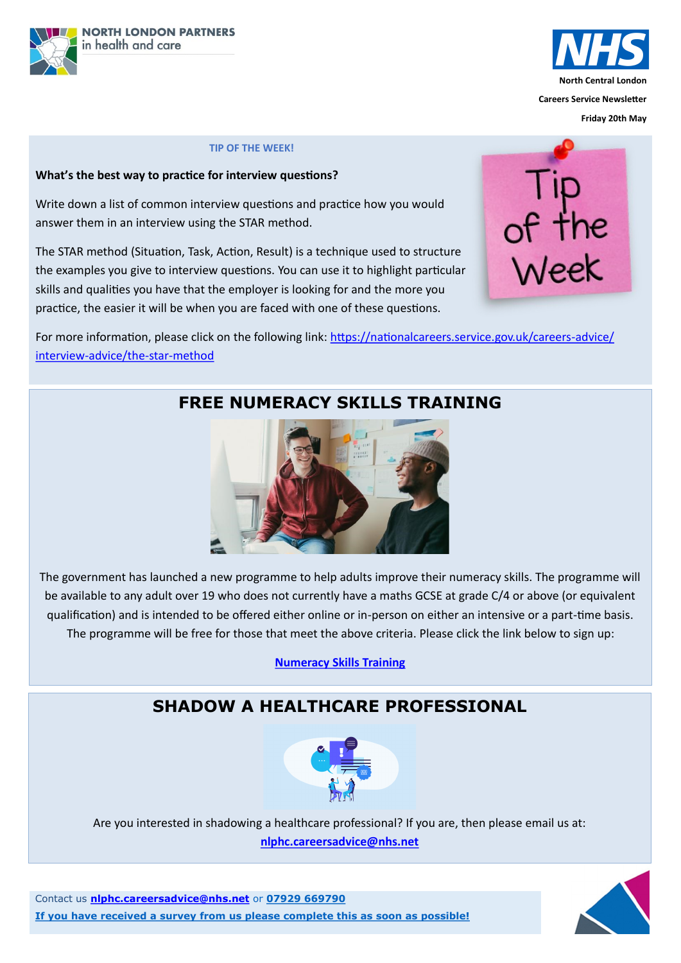



**Friday 20th May**

Contact us **[nlphc.careersadvice@nhs.net](mailto:nlphc.careersadvice@nhs.net)** or **07929 669790**

**If you have received a survey from us please complete this as soon as possible!**



# **FREE NUMERACY SKILLS TRAINING**

The government has launched a new programme to help adults improve their numeracy skills. The programme will be available to any adult over 19 who does not currently have a maths GCSE at grade C/4 or above (or equivalent qualification) and is intended to be offered either online or in-person on either an intensive or a part-time basis. The programme will be free for those that meet the above criteria. Please click the link below to sign up:

**[Numeracy Skills Training](https://nationalcareers.service.gov.uk/find-a-course/page?searchTerm=maths%20mathematics%20numeracy&distance=10%20miles&town=&orderByValue=Relevance&startDate=Anytime&courseType=&courseHours=&courseStudyTime=&filterA=true&page=1&D=0&coordinates=&campaignCo)**

For more information, please click on the following link: [https://nationalcareers.service.gov.uk/careers](https://nationalcareers.service.gov.uk/careers-advice/interview-advice/the-star-method)-advice/ interview-[advice/the](https://nationalcareers.service.gov.uk/careers-advice/interview-advice/the-star-method)-star-method



## **TIP OF THE WEEK!**

## **What's the best way to practice for interview questions?**

Write down a list of common interview questions and practice how you would answer them in an interview using the STAR method.

The STAR method (Situation, Task, Action, Result) is a technique used to structure the examples you give to interview questions. You can use it to highlight particular skills and qualities you have that the employer is looking for and the more you practice, the easier it will be when you are faced with one of these questions.



# **SHADOW A HEALTHCARE PROFESSIONAL**



## Are you interested in shadowing a healthcare professional? If you are, then please email us at: **[nlphc.careersadvice@nhs.net](mailto:nlphc.careersadvice@nhs.net)**